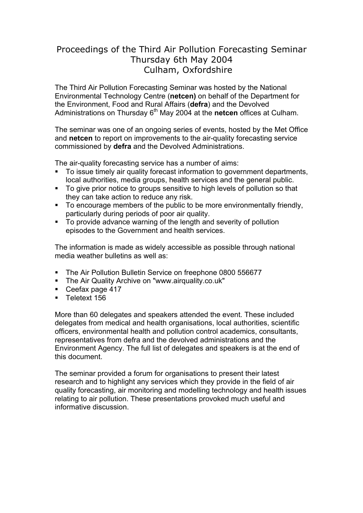## Proceedings of the Third Air Pollution Forecasting Seminar Thursday 6th May 2004 Culham, Oxfordshire

The Third Air Pollution Forecasting Seminar was hosted by the National Environmental Technology Centre (**netcen)** on behalf of the Department for the Environment, Food and Rural Affairs (**defra**) and the Devolved Administrations on Thursday 6<sup>th</sup> May 2004 at the **netcen** offices at Culham.

The seminar was one of an ongoing series of events, hosted by the Met Office and **netcen** to report on improvements to the air-quality forecasting service commissioned by **defra** and the Devolved Administrations.

The air-quality forecasting service has a number of aims:

- To issue timely air quality forecast information to government departments, local authorities, media groups, health services and the general public.
- To give prior notice to groups sensitive to high levels of pollution so that they can take action to reduce any risk.
- To encourage members of the public to be more environmentally friendly, particularly during periods of poor air quality.
- To provide advance warning of the length and severity of pollution episodes to the Government and health services.

The information is made as widely accessible as possible through national media weather bulletins as well as:

- The Air Pollution Bulletin Service on freephone 0800 556677
- **The Air Quality Archive on "www.airquality.co.uk"**
- Ceefax page 417
- **Teletext 156**

More than 60 delegates and speakers attended the event. These included delegates from medical and health organisations, local authorities, scientific officers, environmental health and pollution control academics, consultants, representatives from defra and the devolved administrations and the Environment Agency. The full list of delegates and speakers is at the end of this document.

The seminar provided a forum for organisations to present their latest research and to highlight any services which they provide in the field of air quality forecasting, air monitoring and modelling technology and health issues relating to air pollution. These presentations provoked much useful and informative discussion.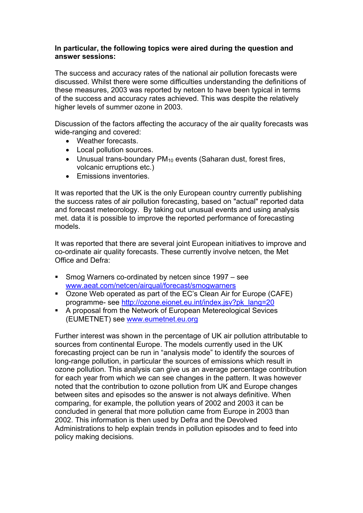#### **In particular, the following topics were aired during the question and answer sessions:**

The success and accuracy rates of the national air pollution forecasts were discussed. Whilst there were some difficulties understanding the definitions of these measures, 2003 was reported by netcen to have been typical in terms of the success and accuracy rates achieved. This was despite the relatively higher levels of summer ozone in 2003.

Discussion of the factors affecting the accuracy of the air quality forecasts was wide-ranging and covered:

- Weather forecasts.
- Local pollution sources.
- Unusual trans-boundary PM<sub>10</sub> events (Saharan dust, forest fires, volcanic erruptions etc.)
- Emissions inventories.

It was reported that the UK is the only European country currently publishing the success rates of air pollution forecasting, based on "actual" reported data and forecast meteorology. By taking out unusual events and using analysis met. data it is possible to improve the reported performance of forecasting models.

It was reported that there are several joint European initiatives to improve and co-ordinate air quality forecasts. These currently involve netcen, the Met Office and Defra:

- Smog Warners co-ordinated by netcen since 1997 see www.aeat.com/netcen/airqual/forecast/smogwarners
- Ozone Web operated as part of the EC's Clean Air for Europe (CAFE) programme- see [http://ozone.eionet.eu.int/index.jsv?pk\\_lang=20](http://ozone.eionet.eu.int/index.jsv?pk_lang=20)
- A proposal from the Network of European Metereological Sevices (EUMETNET) see [www.eumetnet.eu.org](http://www.eumetnet.eu.org/)

Further interest was shown in the percentage of UK air pollution attributable to sources from continental Europe. The models currently used in the UK forecasting project can be run in "analysis mode" to identify the sources of long-range pollution, in particular the sources of emissions which result in ozone pollution. This analysis can give us an average percentage contribution for each year from which we can see changes in the pattern. It was however noted that the contribution to ozone pollution from UK and Europe changes between sites and episodes so the answer is not always definitive. When comparing, for example, the pollution years of 2002 and 2003 it can be concluded in general that more pollution came from Europe in 2003 than 2002. This information is then used by Defra and the Devolved Administrations to help explain trends in pollution episodes and to feed into policy making decisions.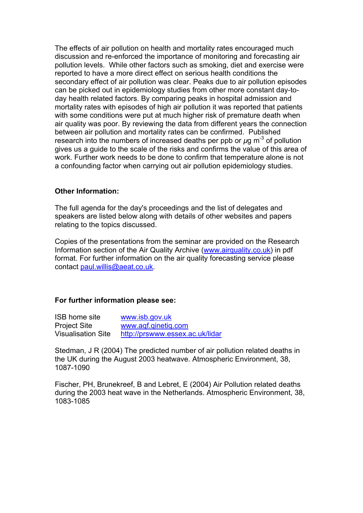The effects of air pollution on health and mortality rates encouraged much discussion and re-enforced the importance of monitoring and forecasting air pollution levels. While other factors such as smoking, diet and exercise were reported to have a more direct effect on serious health conditions the secondary effect of air pollution was clear. Peaks due to air pollution episodes can be picked out in epidemiology studies from other more constant day-today health related factors. By comparing peaks in hospital admission and mortality rates with episodes of high air pollution it was reported that patients with some conditions were put at much higher risk of premature death when air quality was poor. By reviewing the data from different years the connection between air pollution and mortality rates can be confirmed. Published research into the numbers of increased deaths per ppb or  $\mu$ g m<sup>-3</sup> of pollution gives us a guide to the scale of the risks and confirms the value of this area of work. Further work needs to be done to confirm that temperature alone is not a confounding factor when carrying out air pollution epidemiology studies.

### **Other Information:**

The full agenda for the day's proceedings and the list of delegates and speakers are listed below along with details of other websites and papers relating to the topics discussed.

Copies of the presentations from the seminar are provided on the Research Information section of the Air Quality Archive ([www.airquality.co.uk\)](http://www.airquality.co.uk/) in pdf format. For further information on the air quality forecasting service please contact [paul.willis@aeat.co.uk.](mailto:paul.willis@aeat.co.uk)

#### **For further information please see:**

| <b>ISB home site</b>      | www.isb.gov.uk                  |
|---------------------------|---------------------------------|
| <b>Project Site</b>       | www.aqf.qinetig.com             |
| <b>Visualisation Site</b> | http://prswww.essex.ac.uk/lidar |

Stedman, J R (2004) The predicted number of air pollution related deaths in the UK during the August 2003 heatwave. Atmospheric Environment, 38, 1087-1090

Fischer, PH, Brunekreef, B and Lebret, E (2004) Air Pollution related deaths during the 2003 heat wave in the Netherlands. Atmospheric Environment, 38, 1083-1085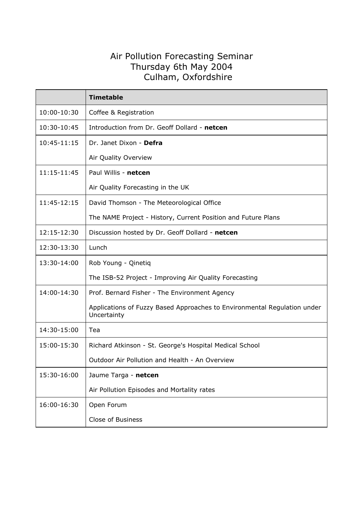## Air Pollution Forecasting Seminar Thursday 6th May 2004 Culham, Oxfordshire

|             | <b>Timetable</b>                                                                        |
|-------------|-----------------------------------------------------------------------------------------|
| 10:00-10:30 | Coffee & Registration                                                                   |
| 10:30-10:45 | Introduction from Dr. Geoff Dollard - netcen                                            |
| 10:45-11:15 | Dr. Janet Dixon - Defra                                                                 |
|             | Air Quality Overview                                                                    |
| 11:15-11:45 | Paul Willis - netcen                                                                    |
|             | Air Quality Forecasting in the UK                                                       |
| 11:45-12:15 | David Thomson - The Meteorological Office                                               |
|             | The NAME Project - History, Current Position and Future Plans                           |
| 12:15-12:30 | Discussion hosted by Dr. Geoff Dollard - netcen                                         |
| 12:30-13:30 | Lunch                                                                                   |
| 13:30-14:00 | Rob Young - Qinetiq                                                                     |
|             | The ISB-52 Project - Improving Air Quality Forecasting                                  |
| 14:00-14:30 | Prof. Bernard Fisher - The Environment Agency                                           |
|             | Applications of Fuzzy Based Approaches to Environmental Regulation under<br>Uncertainty |
| 14:30-15:00 | Tea                                                                                     |
| 15:00-15:30 | Richard Atkinson - St. George's Hospital Medical School                                 |
|             | Outdoor Air Pollution and Health - An Overview                                          |
| 15:30-16:00 | Jaume Targa - netcen                                                                    |
|             | Air Pollution Episodes and Mortality rates                                              |
| 16:00-16:30 | Open Forum                                                                              |
|             | Close of Business                                                                       |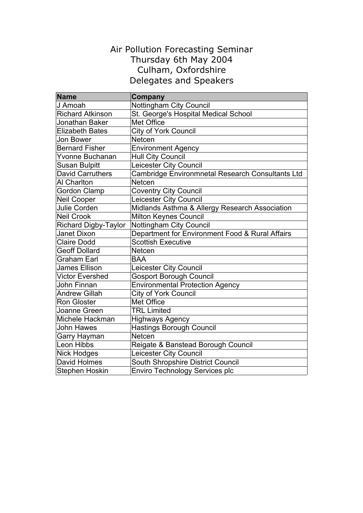## Air Pollution Forecasting Seminar Thursday 6th May 2004 Culham, Oxfordshire Delegates and Speakers

| <b>Name</b>                 | Company                                          |
|-----------------------------|--------------------------------------------------|
| J Amoah                     | Nottingham City Council                          |
| <b>Richard Atkinson</b>     | St. George's Hospital Medical School             |
| Jonathan Baker              | Met Office                                       |
| <b>Elizabeth Bates</b>      | City of York Council                             |
| Jon Bower                   | <b>Netcen</b>                                    |
| <b>Bernard Fisher</b>       | <b>Environment Agency</b>                        |
| Yvonne Buchanan             | <b>Hull City Council</b>                         |
| <b>Susan Bulpitt</b>        | Leicester City Council                           |
| <b>David Carruthers</b>     | Cambridge Environmnetal Research Consultants Ltd |
| <b>Al Charlton</b>          | Netcen                                           |
| <b>Gordon Clamp</b>         | <b>Coventry City Council</b>                     |
| <b>Neil Cooper</b>          | Leicester City Council                           |
| Julie Corden                | Midlands Asthma & Allergy Research Association   |
| <b>Neil Crook</b>           | <b>Milton Keynes Council</b>                     |
| <b>Richard Digby-Taylor</b> | <b>Nottingham City Council</b>                   |
| Janet Dixon                 | Department for Environment Food & Rural Affairs  |
| <b>Claire Dodd</b>          | <b>Scottish Executive</b>                        |
| <b>Geoff Dollard</b>        | Netcen                                           |
| <b>Graham Earl</b>          | <b>BAA</b>                                       |
| <b>James Ellison</b>        | Leicester City Council                           |
| <b>Victor Evershed</b>      | <b>Gosport Borough Council</b>                   |
| John Finnan                 | <b>Environmental Protection Agency</b>           |
| <b>Andrew Gillah</b>        | <b>City of York Council</b>                      |
| <b>Ron Gloster</b>          | Met Office                                       |
| Joanne Green                | <b>TRL Limited</b>                               |
| Michele Hackman             | <b>Highways Agency</b>                           |
| John Hawes                  | <b>Hastings Borough Council</b>                  |
| Garry Hayman                | <b>Netcen</b>                                    |
| Leon Hibbs                  | Reigate & Banstead Borough Council               |
| <b>Nick Hodges</b>          | Leicester City Council                           |
| <b>David Holmes</b>         | South Shropshire District Council                |
| <b>Stephen Hoskin</b>       | <b>Enviro Technology Services plc</b>            |